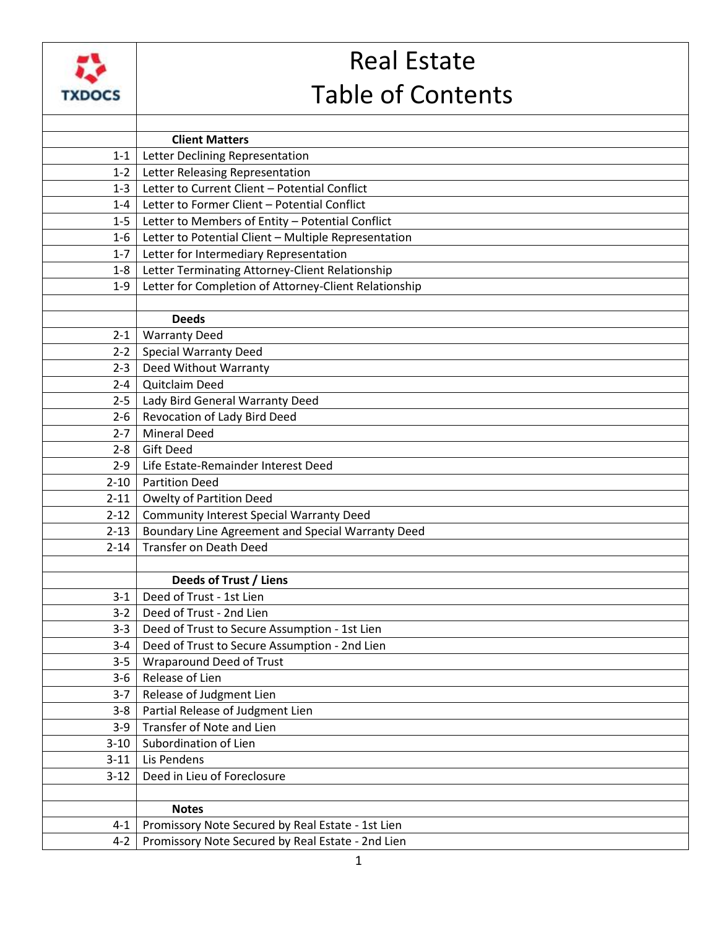

## Real Estate Table of Contents

|          | <b>Client Matters</b>                                 |
|----------|-------------------------------------------------------|
| $1 - 1$  | Letter Declining Representation                       |
| $1 - 2$  | Letter Releasing Representation                       |
| $1 - 3$  | Letter to Current Client - Potential Conflict         |
| $1 - 4$  | Letter to Former Client - Potential Conflict          |
| $1 - 5$  | Letter to Members of Entity - Potential Conflict      |
| $1 - 6$  | Letter to Potential Client - Multiple Representation  |
| $1 - 7$  | Letter for Intermediary Representation                |
| $1 - 8$  | Letter Terminating Attorney-Client Relationship       |
| $1 - 9$  | Letter for Completion of Attorney-Client Relationship |
|          |                                                       |
|          | <b>Deeds</b>                                          |
| $2 - 1$  | <b>Warranty Deed</b>                                  |
| $2 - 2$  | <b>Special Warranty Deed</b>                          |
| $2 - 3$  | Deed Without Warranty                                 |
| $2 - 4$  | Quitclaim Deed                                        |
| $2 - 5$  | Lady Bird General Warranty Deed                       |
| $2 - 6$  | Revocation of Lady Bird Deed                          |
| $2 - 7$  | <b>Mineral Deed</b>                                   |
| $2 - 8$  | <b>Gift Deed</b>                                      |
| $2 - 9$  | Life Estate-Remainder Interest Deed                   |
| $2 - 10$ | <b>Partition Deed</b>                                 |
| $2 - 11$ | Owelty of Partition Deed                              |
| $2 - 12$ | <b>Community Interest Special Warranty Deed</b>       |
| $2 - 13$ | Boundary Line Agreement and Special Warranty Deed     |
| $2 - 14$ | <b>Transfer on Death Deed</b>                         |
|          |                                                       |
|          | Deeds of Trust / Liens                                |
| $3-1$    | Deed of Trust - 1st Lien                              |
| $3-2$    | Deed of Trust - 2nd Lien                              |
| $3-3$    | Deed of Trust to Secure Assumption - 1st Lien         |
| $3-4$    | Deed of Trust to Secure Assumption - 2nd Lien         |
| $3 - 5$  | Wraparound Deed of Trust                              |
| $3 - 6$  | Release of Lien                                       |
| $3 - 7$  | Release of Judgment Lien                              |
| $3 - 8$  | Partial Release of Judgment Lien                      |
| $3-9$    | Transfer of Note and Lien                             |
| $3 - 10$ | Subordination of Lien                                 |
| $3 - 11$ | Lis Pendens                                           |
| $3-12$   | Deed in Lieu of Foreclosure                           |
|          |                                                       |
|          | <b>Notes</b>                                          |
| $4 - 1$  | Promissory Note Secured by Real Estate - 1st Lien     |
| $4 - 2$  | Promissory Note Secured by Real Estate - 2nd Lien     |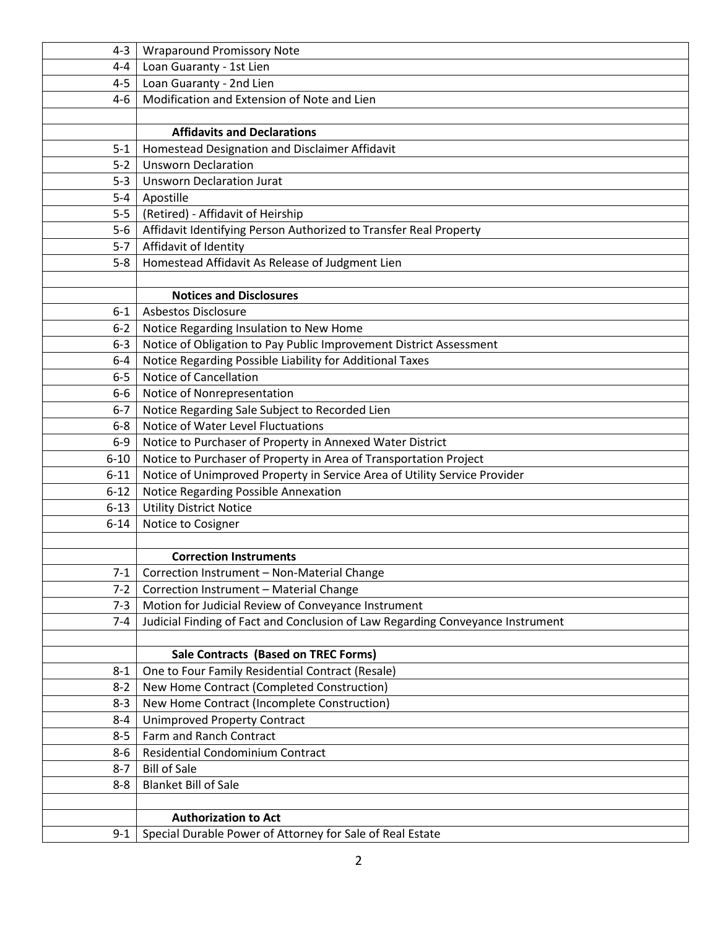| 4-3      | <b>Wraparound Promissory Note</b>                                              |
|----------|--------------------------------------------------------------------------------|
| $4 - 4$  | Loan Guaranty - 1st Lien                                                       |
| $4-5$    | Loan Guaranty - 2nd Lien                                                       |
| 4-6      | Modification and Extension of Note and Lien                                    |
|          |                                                                                |
|          | <b>Affidavits and Declarations</b>                                             |
| $5 - 1$  | Homestead Designation and Disclaimer Affidavit                                 |
| $5 - 2$  | <b>Unsworn Declaration</b>                                                     |
| $5-3$    | <b>Unsworn Declaration Jurat</b>                                               |
| $5 - 4$  | Apostille                                                                      |
| $5-5$    | (Retired) - Affidavit of Heirship                                              |
| $5-6$    | Affidavit Identifying Person Authorized to Transfer Real Property              |
| $5-7$    | Affidavit of Identity                                                          |
| $5 - 8$  | Homestead Affidavit As Release of Judgment Lien                                |
|          |                                                                                |
|          | <b>Notices and Disclosures</b>                                                 |
| $6 - 1$  | <b>Asbestos Disclosure</b>                                                     |
| $6 - 2$  | Notice Regarding Insulation to New Home                                        |
| $6 - 3$  | Notice of Obligation to Pay Public Improvement District Assessment             |
| $6 - 4$  | Notice Regarding Possible Liability for Additional Taxes                       |
| $6-5$    | <b>Notice of Cancellation</b>                                                  |
| $6-6$    | Notice of Nonrepresentation                                                    |
| $6-7$    | Notice Regarding Sale Subject to Recorded Lien                                 |
| $6-8$    | Notice of Water Level Fluctuations                                             |
| $6-9$    | Notice to Purchaser of Property in Annexed Water District                      |
| $6 - 10$ | Notice to Purchaser of Property in Area of Transportation Project              |
| $6 - 11$ | Notice of Unimproved Property in Service Area of Utility Service Provider      |
| $6 - 12$ | Notice Regarding Possible Annexation                                           |
| $6 - 13$ | <b>Utility District Notice</b>                                                 |
| $6 - 14$ | Notice to Cosigner                                                             |
|          |                                                                                |
|          | <b>Correction Instruments</b>                                                  |
| $7-1$    | Correction Instrument - Non-Material Change                                    |
| $7-2$    | Correction Instrument - Material Change                                        |
| $7 - 3$  | Motion for Judicial Review of Conveyance Instrument                            |
| $7 - 4$  | Judicial Finding of Fact and Conclusion of Law Regarding Conveyance Instrument |
|          | <b>Sale Contracts (Based on TREC Forms)</b>                                    |
| $8 - 1$  | One to Four Family Residential Contract (Resale)                               |
| $8 - 2$  | New Home Contract (Completed Construction)                                     |
| $8 - 3$  | New Home Contract (Incomplete Construction)                                    |
| $8 - 4$  | <b>Unimproved Property Contract</b>                                            |
| $8 - 5$  | Farm and Ranch Contract                                                        |
| 8-6      | Residential Condominium Contract                                               |
| $8 - 7$  | <b>Bill of Sale</b>                                                            |
| $8 - 8$  | <b>Blanket Bill of Sale</b>                                                    |
|          |                                                                                |
|          | <b>Authorization to Act</b>                                                    |
| $9 - 1$  | Special Durable Power of Attorney for Sale of Real Estate                      |
|          |                                                                                |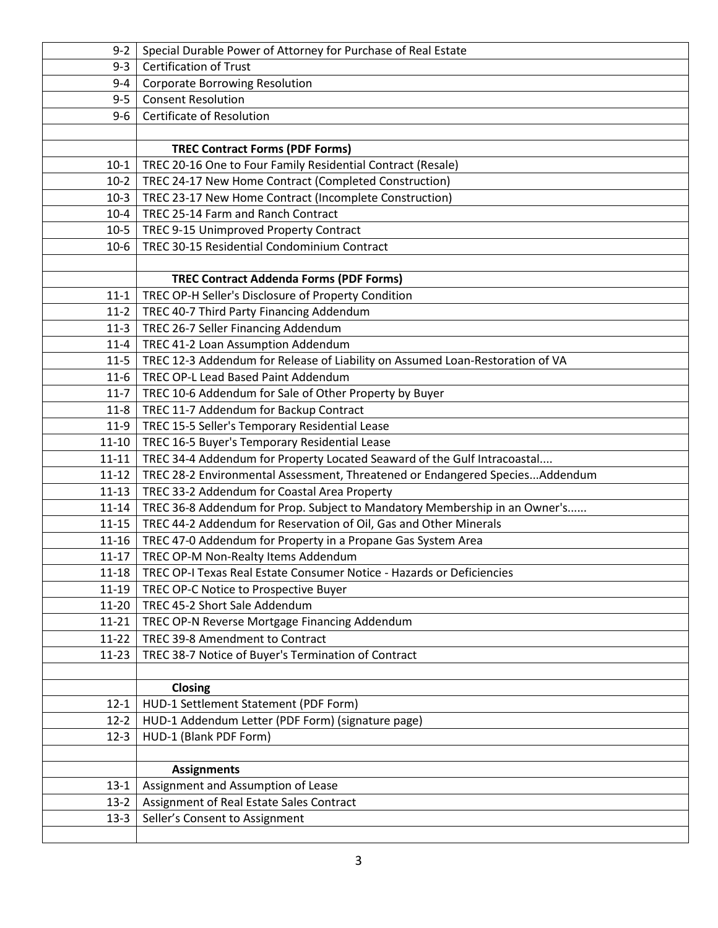| $9 - 2$                | Special Durable Power of Attorney for Purchase of Real Estate                 |
|------------------------|-------------------------------------------------------------------------------|
| $9 - 3$                | <b>Certification of Trust</b>                                                 |
| 9-4                    | <b>Corporate Borrowing Resolution</b>                                         |
| $9 - 5$                | <b>Consent Resolution</b>                                                     |
| $9 - 6$                | Certificate of Resolution                                                     |
|                        |                                                                               |
|                        | <b>TREC Contract Forms (PDF Forms)</b>                                        |
| $10-1$                 | TREC 20-16 One to Four Family Residential Contract (Resale)                   |
| $10-2$                 | TREC 24-17 New Home Contract (Completed Construction)                         |
| $10-3$                 | TREC 23-17 New Home Contract (Incomplete Construction)                        |
| $10 - 4$               | TREC 25-14 Farm and Ranch Contract                                            |
| $10-5$                 | TREC 9-15 Unimproved Property Contract                                        |
| $10-6$                 | TREC 30-15 Residential Condominium Contract                                   |
|                        |                                                                               |
|                        | <b>TREC Contract Addenda Forms (PDF Forms)</b>                                |
| $11 - 1$               | TREC OP-H Seller's Disclosure of Property Condition                           |
| $11-2$                 | TREC 40-7 Third Party Financing Addendum                                      |
| $11-3$                 | TREC 26-7 Seller Financing Addendum                                           |
| $11 - 4$               | TREC 41-2 Loan Assumption Addendum                                            |
| $11 - 5$               | TREC 12-3 Addendum for Release of Liability on Assumed Loan-Restoration of VA |
| $11-6$                 | <b>TREC OP-L Lead Based Paint Addendum</b>                                    |
| $11 - 7$               | TREC 10-6 Addendum for Sale of Other Property by Buyer                        |
| $11 - 8$               | TREC 11-7 Addendum for Backup Contract                                        |
| $11-9$                 | TREC 15-5 Seller's Temporary Residential Lease                                |
| $11 - 10$              | TREC 16-5 Buyer's Temporary Residential Lease                                 |
| $11 - 11$              | TREC 34-4 Addendum for Property Located Seaward of the Gulf Intracoastal      |
| $11 - 12$              | TREC 28-2 Environmental Assessment, Threatened or Endangered SpeciesAddendum  |
| $11 - 13$              | TREC 33-2 Addendum for Coastal Area Property                                  |
| $11 - 14$              | TREC 36-8 Addendum for Prop. Subject to Mandatory Membership in an Owner's    |
| $11 - 15$              | TREC 44-2 Addendum for Reservation of Oil, Gas and Other Minerals             |
| $11 - 16$              | TREC 47-0 Addendum for Property in a Propane Gas System Area                  |
| $11 - 17$<br>$11 - 18$ | TREC OP-M Non-Realty Items Addendum                                           |
|                        | TREC OP-I Texas Real Estate Consumer Notice - Hazards or Deficiencies         |
| 11-19                  | TREC OP-C Notice to Prospective Buyer<br>TREC 45-2 Short Sale Addendum        |
| 11-20<br>$11 - 21$     | TREC OP-N Reverse Mortgage Financing Addendum                                 |
| 11-22                  | TREC 39-8 Amendment to Contract                                               |
| $11 - 23$              | TREC 38-7 Notice of Buyer's Termination of Contract                           |
|                        |                                                                               |
|                        | Closing                                                                       |
| $12 - 1$               | HUD-1 Settlement Statement (PDF Form)                                         |
| $12-2$                 | HUD-1 Addendum Letter (PDF Form) (signature page)                             |
| $12 - 3$               | HUD-1 (Blank PDF Form)                                                        |
|                        |                                                                               |
|                        | <b>Assignments</b>                                                            |
| $13 - 1$               | Assignment and Assumption of Lease                                            |
| $13-2$                 | Assignment of Real Estate Sales Contract                                      |
| $13-3$                 | Seller's Consent to Assignment                                                |
|                        |                                                                               |